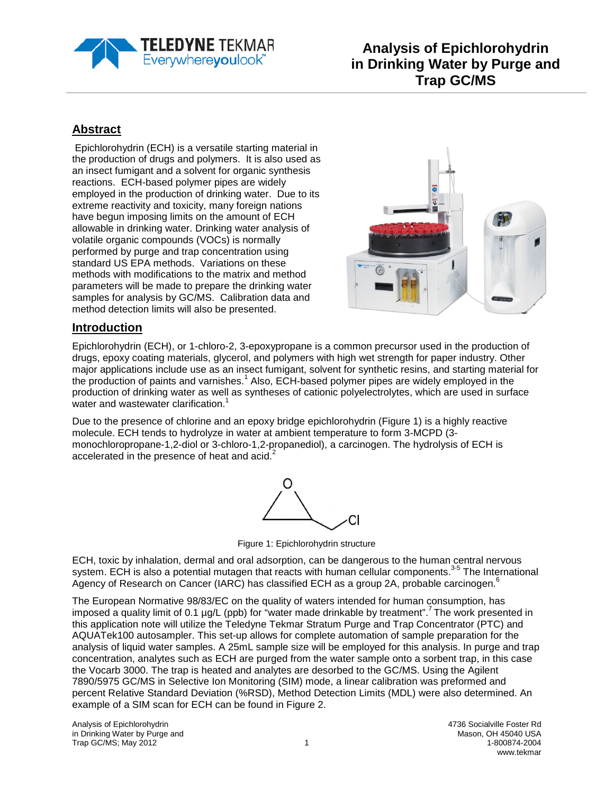

# **Abstract**

Epichlorohydrin (ECH) is a versatile starting material in the production of drugs and polymers. It is also used as an insect fumigant and a solvent for organic synthesis reactions. ECH-based polymer pipes are widely employed in the production of drinking water. Due to its extreme reactivity and toxicity, many foreign nations have begun imposing limits on the amount of ECH allowable in drinking water. Drinking water analysis of volatile organic compounds (VOCs) is normally performed by purge and trap concentration using standard US EPA methods. Variations on these methods with modifications to the matrix and method parameters will be made to prepare the drinking water samples for analysis by GC/MS. Calibration data and method detection limits will also be presented.



### **Introduction**

Epichlorohydrin (ECH), or 1-chloro-2, 3-epoxypropane is a common precursor used in the production of drugs, epoxy coating materials, glycerol, and polymers with high wet strength for paper industry. Other major applications include use as an insect fumigant, solvent for synthetic resins, and starting material for the production of paints and varnishes.<sup>1</sup> Also, ECH-based polymer pipes are widely employed in the production of drinking water as well as syntheses of cationic polyelectrolytes, which are used in surface water and wastewater clarification.<sup>1</sup>

Due to the presence of chlorine and an epoxy bridge epichlorohydrin (Figure 1) is a highly reactive molecule. ECH tends to hydrolyze in water at ambient temperature to form 3-MCPD (3 monochloropropane-1,2-diol or 3-chloro-1,2-propanediol), a carcinogen. The hydrolysis of ECH is accelerated in the presence of heat and acid.<sup>2</sup>



Figure 1: Epichlorohydrin structure

ECH, toxic by inhalation, dermal and oral adsorption, can be dangerous to the human central nervous system. ECH is also a potential mutagen that reacts with human cellular components.<sup>3-5</sup> The International Agency of Research on Cancer (IARC) has classified ECH as a group 2A, probable carcinogen.<sup>6</sup>

The European Normative 98/83/EC on the quality of waters intended for human consumption, has imposed a quality limit of 0.1 µg/L (ppb) for "water made drinkable by treatment".<sup>7</sup> The work presented in this application note will utilize the Teledyne Tekmar Stratum Purge and Trap Concentrator (PTC) and AQUATek100 autosampler. This set-up allows for complete automation of sample preparation for the analysis of liquid water samples. A 25mL sample size will be employed for this analysis. In purge and trap concentration, analytes such as ECH are purged from the water sample onto a sorbent trap, in this case the Vocarb 3000. The trap is heated and analytes are desorbed to the GC/MS. Using the Agilent 7890/5975 GC/MS in Selective Ion Monitoring (SIM) mode, a linear calibration was preformed and percent Relative Standard Deviation (%RSD), Method Detection Limits (MDL) were also determined. An example of a SIM scan for ECH can be found in Figure 2.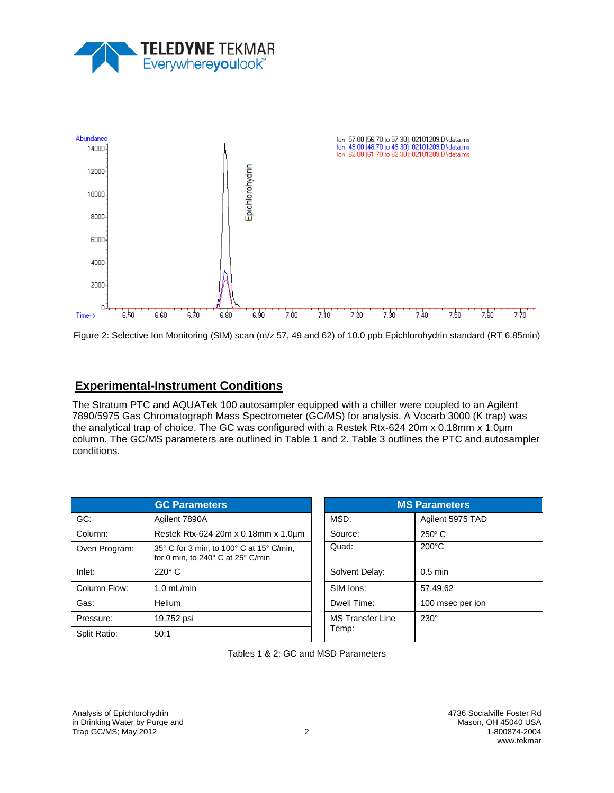



Figure 2: Selective Ion Monitoring (SIM) scan (m/z 57, 49 and 62) of 10.0 ppb Epichlorohydrin standard (RT 6.85min)

### **Experimental-Instrument Conditions**

The Stratum PTC and AQUATek 100 autosampler equipped with a chiller were coupled to an Agilent 7890/5975 Gas Chromatograph Mass Spectrometer (GC/MS) for analysis. A Vocarb 3000 (K trap) was the analytical trap of choice. The GC was configured with a Restek Rtx-624 20m x 0.18mm x 1.0µm column. The GC/MS parameters are outlined in Table 1 and 2. Table 3 outlines the PTC and autosampler conditions.

| <b>GC Parameters</b> |                                                                               | <b>MS Parameters</b>    |                  |
|----------------------|-------------------------------------------------------------------------------|-------------------------|------------------|
| GC:                  | Agilent 7890A                                                                 | MSD:                    | Agilent 5975 TAD |
| Column:              | Restek Rtx-624 20m x 0.18mm x 1.0um                                           | Source:                 | $250^\circ$ C    |
| Oven Program:        | 35° C for 3 min, to 100° C at 15° C/min,<br>for 0 min, to 240° C at 25° C/min | Quad:                   | $200^{\circ}$ C  |
| Inlet:               | $220^\circ$ C                                                                 | Solvent Delay:          | $0.5$ min        |
| Column Flow:         | $1.0$ mL/min                                                                  | SIM lons:               | 57,49,62         |
| Gas:                 | Helium                                                                        | Dwell Time:             | 100 msec per ion |
| Pressure:            | 19.752 psi                                                                    | <b>MS Transfer Line</b> | $230^\circ$      |
| Split Ratio:         | 50:1                                                                          | Temp:                   |                  |

| <b>MS Parameters</b>             |                  |  |  |
|----------------------------------|------------------|--|--|
| MSD:                             | Agilent 5975 TAD |  |  |
| Source:                          | $250^\circ$ C    |  |  |
| Quad:                            | $200^{\circ}$ C  |  |  |
| Solvent Delay:                   | $0.5$ min        |  |  |
| SIM lons:                        | 57,49,62         |  |  |
| Dwell Time:                      | 100 msec per ion |  |  |
| <b>MS Transfer Line</b><br>Temp: | $230^\circ$      |  |  |

Tables 1 & 2: GC and MSD Parameters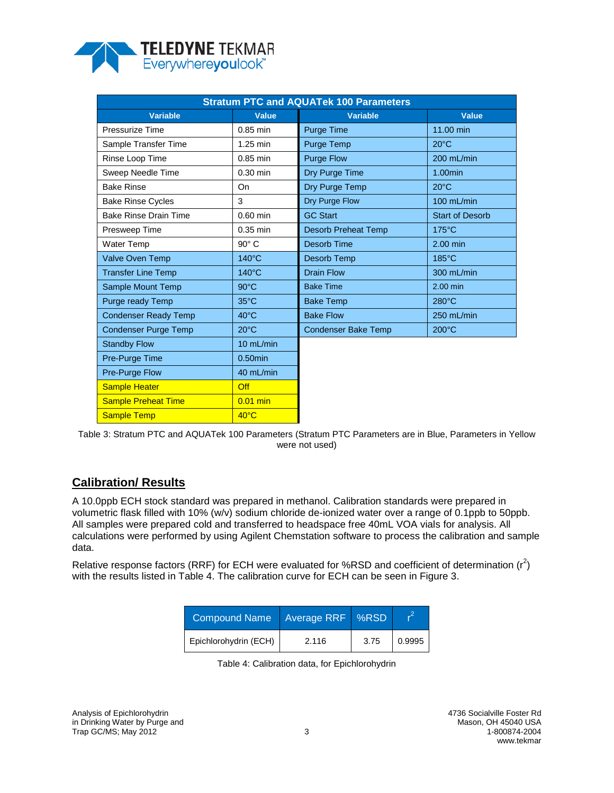

| <b>Stratum PTC and AQUATek 100 Parameters</b> |                 |                            |                        |  |
|-----------------------------------------------|-----------------|----------------------------|------------------------|--|
| <b>Variable</b>                               | <b>Value</b>    | <b>Variable</b>            | <b>Value</b>           |  |
| Pressurize Time                               | $0.85$ min      | <b>Purge Time</b>          | 11.00 min              |  |
| Sample Transfer Time                          | 1.25 min        | Purge Temp                 | $20^{\circ}$ C         |  |
| Rinse Loop Time                               | $0.85$ min      | <b>Purge Flow</b>          | 200 mL/min             |  |
| Sweep Needle Time                             | $0.30$ min      | Dry Purge Time             | 1.00min                |  |
| <b>Bake Rinse</b>                             | On              | Dry Purge Temp             | $20^{\circ}$ C         |  |
| <b>Bake Rinse Cycles</b>                      | 3               | Dry Purge Flow             | 100 mL/min             |  |
| <b>Bake Rinse Drain Time</b>                  | $0.60$ min      | <b>GC Start</b>            | <b>Start of Desorb</b> |  |
| Presweep Time                                 | $0.35$ min      | <b>Desorb Preheat Temp</b> | $175^{\circ}$ C        |  |
| <b>Water Temp</b>                             | $90^\circ$ C    | Desorb Time                | 2.00 min               |  |
| <b>Valve Oven Temp</b>                        | $140^{\circ}$ C | Desorb Temp                | $185^{\circ}$ C        |  |
| <b>Transfer Line Temp</b>                     | $140^{\circ}$ C | <b>Drain Flow</b>          | 300 mL/min             |  |
| Sample Mount Temp                             | $90^{\circ}$ C  | <b>Bake Time</b>           | 2.00 min               |  |
| Purge ready Temp                              | $35^{\circ}$ C  | <b>Bake Temp</b>           | 280°C                  |  |
| <b>Condenser Ready Temp</b>                   | $40^{\circ}$ C  | <b>Bake Flow</b>           | 250 mL/min             |  |
| <b>Condenser Purge Temp</b>                   | $20^{\circ}$ C  | <b>Condenser Bake Temp</b> | $200^{\circ}$ C        |  |
| <b>Standby Flow</b>                           | 10 mL/min       |                            |                        |  |
| Pre-Purge Time                                | $0.50$ min      |                            |                        |  |
| Pre-Purge Flow                                | 40 mL/min       |                            |                        |  |
| <b>Sample Heater</b>                          | Off             |                            |                        |  |
| <b>Sample Preheat Time</b>                    | $0.01$ min      |                            |                        |  |
| <b>Sample Temp</b>                            | $40^{\circ}$ C  |                            |                        |  |

Table 3: Stratum PTC and AQUATek 100 Parameters (Stratum PTC Parameters are in Blue, Parameters in Yellow were not used)

## **Calibration/ Results**

A 10.0ppb ECH stock standard was prepared in methanol. Calibration standards were prepared in volumetric flask filled with 10% (w/v) sodium chloride de-ionized water over a range of 0.1ppb to 50ppb. All samples were prepared cold and transferred to headspace free 40mL VOA vials for analysis. All calculations were performed by using Agilent Chemstation software to process the calibration and sample data.

Relative response factors (RRF) for ECH were evaluated for %RSD and coefficient of determination ( $r^2$ ) with the results listed in Table 4. The calibration curve for ECH can be seen in Figure 3.

| <b>Compound Name</b>  | Average RRF | $\sqrt{8}$ RSD |        |
|-----------------------|-------------|----------------|--------|
| Epichlorohydrin (ECH) | 2.116       | 3.75           | 0.9995 |

Table 4: Calibration data, for Epichlorohydrin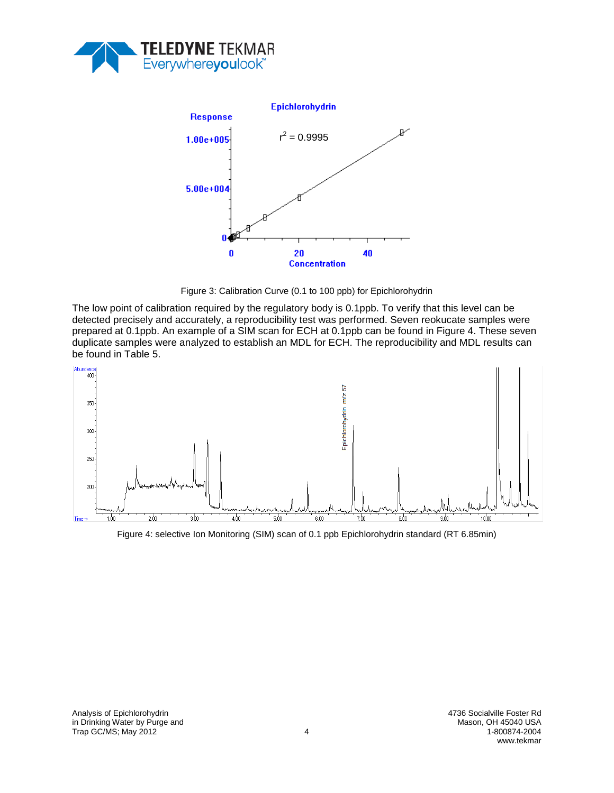



Figure 3: Calibration Curve (0.1 to 100 ppb) for Epichlorohydrin

The low point of calibration required by the regulatory body is 0.1ppb. To verify that this level can be detected precisely and accurately, a reproducibility test was performed. Seven reokucate samples were prepared at 0.1ppb. An example of a SIM scan for ECH at 0.1ppb can be found in Figure 4. These seven duplicate samples were analyzed to establish an MDL for ECH. The reproducibility and MDL results can be found in Table 5.



Figure 4: selective Ion Monitoring (SIM) scan of 0.1 ppb Epichlorohydrin standard (RT 6.85min)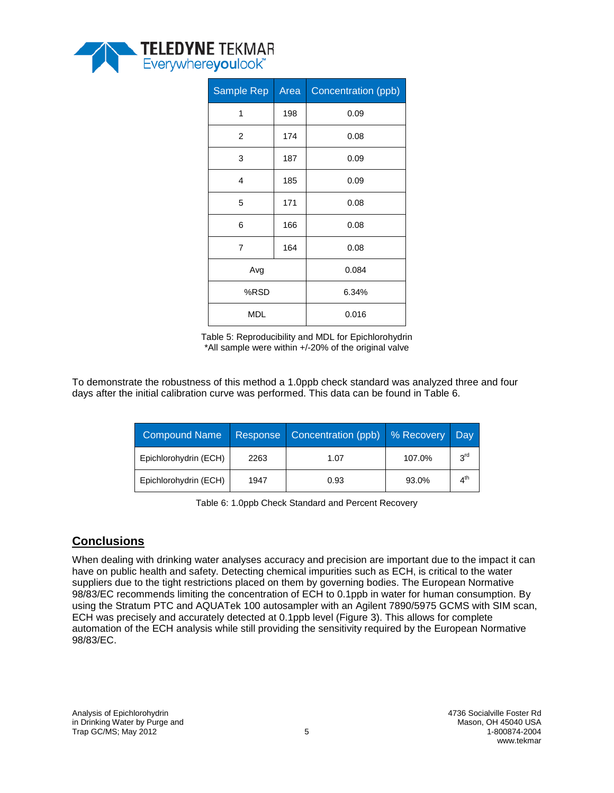

| Sample Rep     | Area | Concentration (ppb) |  |
|----------------|------|---------------------|--|
| 1              | 198  | 0.09                |  |
| 2              | 174  | 0.08                |  |
| 3              | 187  | 0.09                |  |
| 4              | 185  | 0.09                |  |
| 5              | 171  | 0.08                |  |
| 6              | 166  | 0.08                |  |
| $\overline{7}$ | 164  | 0.08                |  |
| Avg            |      | 0.084               |  |
| %RSD           |      | 6.34%               |  |
| <b>MDL</b>     |      | 0.016               |  |

Table 5: Reproducibility and MDL for Epichlorohydrin \*All sample were within +/-20% of the original valve

To demonstrate the robustness of this method a 1.0ppb check standard was analyzed three and four days after the initial calibration curve was performed. This data can be found in Table 6.

| <b>Compound Name</b>  | Response | Concentration (ppb) | % Recovery | Dav             |
|-----------------------|----------|---------------------|------------|-----------------|
| Epichlorohydrin (ECH) | 2263     | 1.07                | 107.0%     | 3 <sup>rd</sup> |
| Epichlorohydrin (ECH) | 1947     | 0.93                | 93.0%      | ⊿ <sup>th</sup> |

Table 6: 1.0ppb Check Standard and Percent Recovery

### **Conclusions**

When dealing with drinking water analyses accuracy and precision are important due to the impact it can have on public health and safety. Detecting chemical impurities such as ECH, is critical to the water suppliers due to the tight restrictions placed on them by governing bodies. The European Normative 98/83/EC recommends limiting the concentration of ECH to 0.1ppb in water for human consumption. By using the Stratum PTC and AQUATek 100 autosampler with an Agilent 7890/5975 GCMS with SIM scan, ECH was precisely and accurately detected at 0.1ppb level (Figure 3). This allows for complete automation of the ECH analysis while still providing the sensitivity required by the European Normative 98/83/EC.